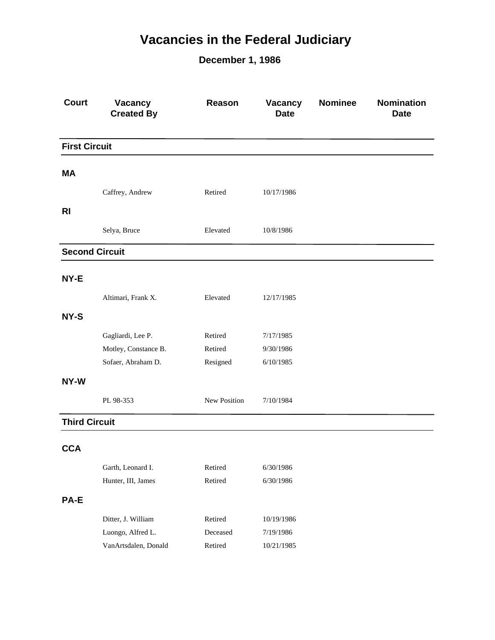## **Vacancies in the Federal Judiciary**

**December 1, 1986**

| <b>Court</b>          | Vacancy<br><b>Created By</b>            | Reason             | Vacancy<br><b>Date</b> | <b>Nominee</b> | <b>Nomination</b><br><b>Date</b> |
|-----------------------|-----------------------------------------|--------------------|------------------------|----------------|----------------------------------|
| <b>First Circuit</b>  |                                         |                    |                        |                |                                  |
| MА                    |                                         |                    |                        |                |                                  |
|                       |                                         |                    |                        |                |                                  |
|                       | Caffrey, Andrew                         | Retired            | 10/17/1986             |                |                                  |
| <b>RI</b>             |                                         |                    |                        |                |                                  |
|                       | Selya, Bruce                            | Elevated           | 10/8/1986              |                |                                  |
| <b>Second Circuit</b> |                                         |                    |                        |                |                                  |
| NY-E                  |                                         |                    |                        |                |                                  |
|                       | Altimari, Frank X.                      | Elevated           | 12/17/1985             |                |                                  |
| NY-S                  |                                         |                    |                        |                |                                  |
|                       | Gagliardi, Lee P.                       | Retired            | 7/17/1985              |                |                                  |
|                       | Motley, Constance B.                    | Retired            | 9/30/1986              |                |                                  |
|                       | Sofaer, Abraham D.                      | Resigned           | 6/10/1985              |                |                                  |
| NY-W                  |                                         |                    |                        |                |                                  |
|                       | PL 98-353                               | New Position       | 7/10/1984              |                |                                  |
| <b>Third Circuit</b>  |                                         |                    |                        |                |                                  |
| <b>CCA</b>            |                                         |                    |                        |                |                                  |
|                       |                                         |                    |                        |                |                                  |
|                       | Garth, Leonard I.<br>Hunter, III, James | Retired<br>Retired | 6/30/1986<br>6/30/1986 |                |                                  |
|                       |                                         |                    |                        |                |                                  |
| <b>PA-E</b>           |                                         |                    |                        |                |                                  |
|                       | Ditter, J. William                      | Retired            | 10/19/1986             |                |                                  |
|                       | Luongo, Alfred L.                       | Deceased           | 7/19/1986              |                |                                  |
|                       | VanArtsdalen, Donald                    | Retired            | 10/21/1985             |                |                                  |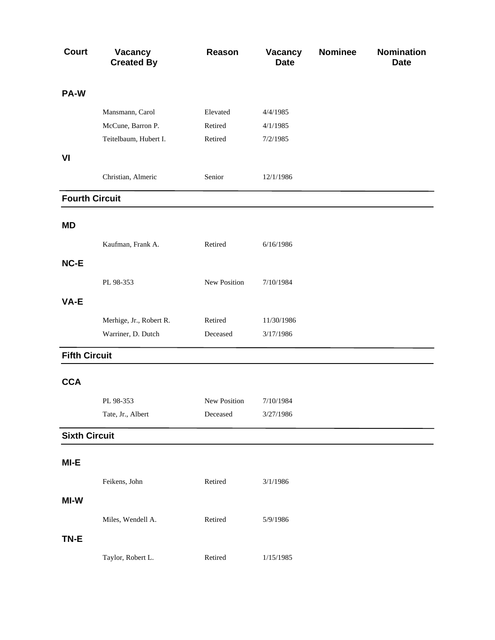| <b>Court</b>          | <b>Vacancy</b><br><b>Created By</b> | Reason              | <b>Vacancy</b><br><b>Date</b> | <b>Nominee</b> | <b>Nomination</b><br><b>Date</b> |
|-----------------------|-------------------------------------|---------------------|-------------------------------|----------------|----------------------------------|
| PA-W                  |                                     |                     |                               |                |                                  |
|                       | Mansmann, Carol                     | Elevated            | 4/4/1985                      |                |                                  |
|                       | McCune, Barron P.                   | Retired             | 4/1/1985                      |                |                                  |
|                       | Teitelbaum, Hubert I.               | Retired             | 7/2/1985                      |                |                                  |
| VI                    |                                     |                     |                               |                |                                  |
|                       | Christian, Almeric                  | Senior              | 12/1/1986                     |                |                                  |
| <b>Fourth Circuit</b> |                                     |                     |                               |                |                                  |
| <b>MD</b>             |                                     |                     |                               |                |                                  |
|                       | Kaufman, Frank A.                   | Retired             | 6/16/1986                     |                |                                  |
| NC-E                  |                                     |                     |                               |                |                                  |
|                       | PL 98-353                           | New Position        | 7/10/1984                     |                |                                  |
| VA-E                  |                                     |                     |                               |                |                                  |
|                       | Merhige, Jr., Robert R.             | Retired             | 11/30/1986                    |                |                                  |
|                       | Warriner, D. Dutch                  | Deceased            | 3/17/1986                     |                |                                  |
| <b>Fifth Circuit</b>  |                                     |                     |                               |                |                                  |
| <b>CCA</b>            |                                     |                     |                               |                |                                  |
|                       | PL 98-353                           | <b>New Position</b> | 7/10/1984                     |                |                                  |
|                       | Tate, Jr., Albert                   | Deceased            | 3/27/1986                     |                |                                  |
| <b>Sixth Circuit</b>  |                                     |                     |                               |                |                                  |
| MI-E                  |                                     |                     |                               |                |                                  |
|                       | Feikens, John                       | Retired             | 3/1/1986                      |                |                                  |
| MI-W                  |                                     |                     |                               |                |                                  |
|                       | Miles, Wendell A.                   | Retired             | 5/9/1986                      |                |                                  |
| TN-E                  |                                     |                     |                               |                |                                  |
|                       | Taylor, Robert L.                   | Retired             | 1/15/1985                     |                |                                  |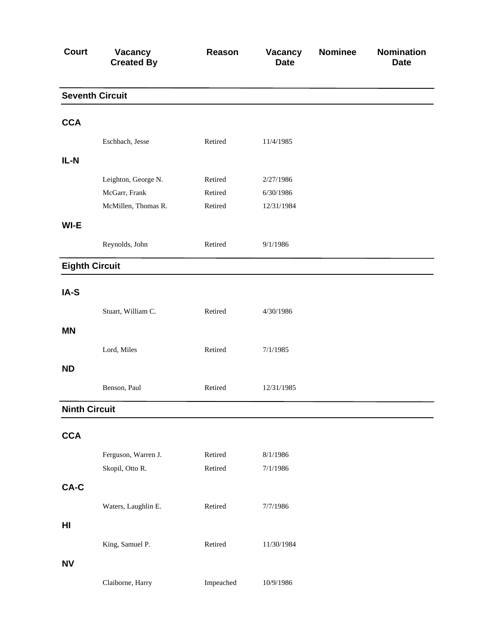| <b>Court</b>          | <b>Vacancy</b><br><b>Created By</b> | Reason    | <b>Vacancy</b><br><b>Date</b> | <b>Nominee</b> | <b>Nomination</b><br><b>Date</b> |
|-----------------------|-------------------------------------|-----------|-------------------------------|----------------|----------------------------------|
|                       | <b>Seventh Circuit</b>              |           |                               |                |                                  |
| <b>CCA</b>            |                                     |           |                               |                |                                  |
|                       | Eschbach, Jesse                     | Retired   | 11/4/1985                     |                |                                  |
| $IL-N$                |                                     |           |                               |                |                                  |
|                       | Leighton, George N.                 | Retired   | 2/27/1986                     |                |                                  |
|                       | McGarr, Frank                       | Retired   | 6/30/1986                     |                |                                  |
|                       | McMillen, Thomas R.                 | Retired   | 12/31/1984                    |                |                                  |
| WI-E                  |                                     |           |                               |                |                                  |
|                       | Reynolds, John                      | Retired   | 9/1/1986                      |                |                                  |
| <b>Eighth Circuit</b> |                                     |           |                               |                |                                  |
| IA-S                  |                                     |           |                               |                |                                  |
|                       | Stuart, William C.                  | Retired   | 4/30/1986                     |                |                                  |
| <b>MN</b>             |                                     |           |                               |                |                                  |
|                       | Lord, Miles                         | Retired   | 7/1/1985                      |                |                                  |
| <b>ND</b>             |                                     |           |                               |                |                                  |
|                       | Benson, Paul                        | Retired   | 12/31/1985                    |                |                                  |
| <b>Ninth Circuit</b>  |                                     |           |                               |                |                                  |
| <b>CCA</b>            |                                     |           |                               |                |                                  |
|                       | Ferguson, Warren J.                 | Retired   | 8/1/1986                      |                |                                  |
|                       | Skopil, Otto R.                     | Retired   | 7/1/1986                      |                |                                  |
| CA-C                  |                                     |           |                               |                |                                  |
|                       | Waters, Laughlin E.                 | Retired   | 7/7/1986                      |                |                                  |
| HI                    |                                     |           |                               |                |                                  |
|                       | King, Samuel P.                     | Retired   | 11/30/1984                    |                |                                  |
| <b>NV</b>             |                                     |           |                               |                |                                  |
|                       | Claiborne, Harry                    | Impeached | 10/9/1986                     |                |                                  |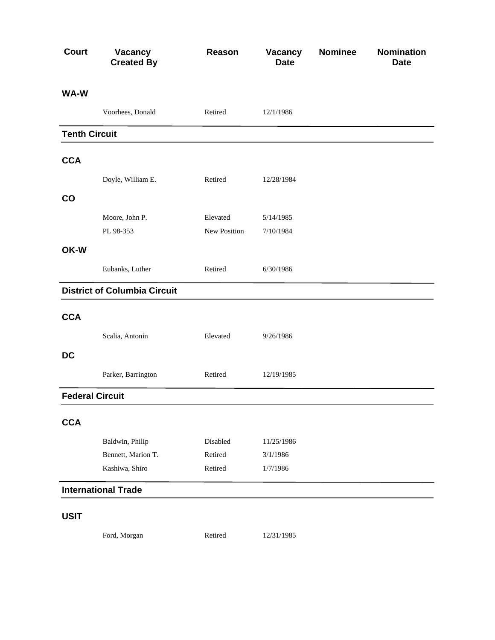| <b>Court</b>           | Vacancy<br><b>Created By</b>        | Reason       | Vacancy<br><b>Date</b> | <b>Nominee</b> | <b>Nomination</b><br><b>Date</b> |
|------------------------|-------------------------------------|--------------|------------------------|----------------|----------------------------------|
| WA-W                   |                                     |              |                        |                |                                  |
|                        | Voorhees, Donald                    | Retired      | 12/1/1986              |                |                                  |
| <b>Tenth Circuit</b>   |                                     |              |                        |                |                                  |
| <b>CCA</b>             |                                     |              |                        |                |                                  |
|                        | Doyle, William E.                   | Retired      | 12/28/1984             |                |                                  |
| CO                     |                                     |              |                        |                |                                  |
|                        | Moore, John P.                      | Elevated     | 5/14/1985              |                |                                  |
|                        | PL 98-353                           | New Position | 7/10/1984              |                |                                  |
| OK-W                   |                                     |              |                        |                |                                  |
|                        | Eubanks, Luther                     | Retired      | 6/30/1986              |                |                                  |
|                        | <b>District of Columbia Circuit</b> |              |                        |                |                                  |
| <b>CCA</b>             |                                     |              |                        |                |                                  |
|                        | Scalia, Antonin                     | Elevated     | 9/26/1986              |                |                                  |
| <b>DC</b>              |                                     |              |                        |                |                                  |
|                        | Parker, Barrington                  | Retired      | 12/19/1985             |                |                                  |
| <b>Federal Circuit</b> |                                     |              |                        |                |                                  |
| <b>CCA</b>             |                                     |              |                        |                |                                  |
|                        | Baldwin, Philip                     | Disabled     | 11/25/1986             |                |                                  |
|                        | Bennett, Marion T.                  | Retired      | 3/1/1986               |                |                                  |
|                        | Kashiwa, Shiro                      | Retired      | 1/7/1986               |                |                                  |
|                        | <b>International Trade</b>          |              |                        |                |                                  |
| <b>USIT</b>            |                                     |              |                        |                |                                  |

Ford, Morgan Retired 12/31/1985